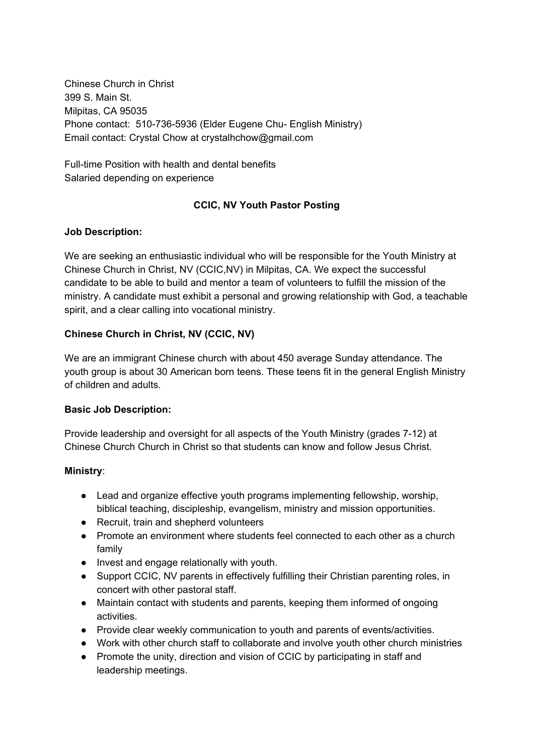Chinese Church in Christ 399 S. Main St. Milpitas, CA 95035 Phone contact: 510-736-5936 (Elder Eugene Chu- English Ministry) Email contact: Crystal Chow at crystalhchow@gmail.com

Full-time Position with health and dental benefits Salaried depending on experience

# **CCIC, NV Youth Pastor Posting**

## **Job Description:**

We are seeking an enthusiastic individual who will be responsible for the Youth Ministry at Chinese Church in Christ, NV (CCIC,NV) in Milpitas, CA. We expect the successful candidate to be able to build and mentor a team of volunteers to fulfill the mission of the ministry. A candidate must exhibit a personal and growing relationship with God, a teachable spirit, and a clear calling into vocational ministry.

## **Chinese Church in Christ, NV (CCIC, NV)**

We are an immigrant Chinese church with about 450 average Sunday attendance. The youth group is about 30 American born teens. These teens fit in the general English Ministry of children and adults.

### **Basic Job Description:**

Provide leadership and oversight for all aspects of the Youth Ministry (grades 7-12) at Chinese Church Church in Christ so that students can know and follow Jesus Christ.

### **Ministry**:

- Lead and organize effective youth programs implementing fellowship, worship, biblical teaching, discipleship, evangelism, ministry and mission opportunities.
- Recruit, train and shepherd volunteers
- Promote an environment where students feel connected to each other as a church family
- Invest and engage relationally with youth.
- Support CCIC, NV parents in effectively fulfilling their Christian parenting roles, in concert with other pastoral staff.
- Maintain contact with students and parents, keeping them informed of ongoing activities.
- Provide clear weekly communication to youth and parents of events/activities.
- Work with other church staff to collaborate and involve youth other church ministries
- Promote the unity, direction and vision of CCIC by participating in staff and leadership meetings.